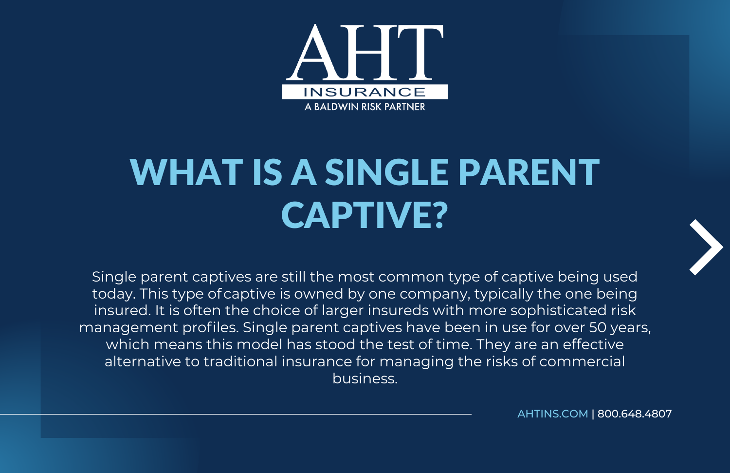

## WHAT IS A SINGLE PARENT CAPTIVE?

Single parent captives are still the most common type of captive being used today. This type ofcaptive is owned by one company, typically the one being insured. It is often the choice of larger insureds with more sophisticated risk management profiles. Single parent captives have been in use for over 50 years, which means this model has stood the test of time. They are an effective alternative to traditional insurance for managing the risks of commercial business.

[AHTINS.COM](https://www.ahtins.com/captive/) | 800.648.4807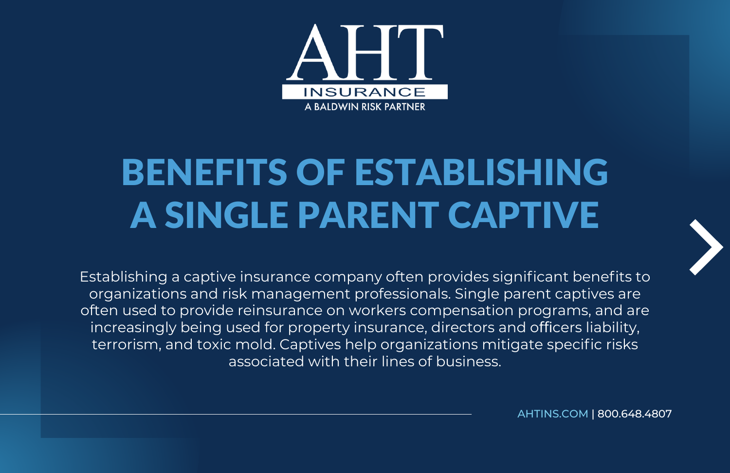

## BENEFITS OF ESTABLISHING A SINGLE PARENT CAPTIVE



Establishing a captive insurance company often provides significant benefits to organizations and risk management professionals. Single parent captives are often used to provide reinsurance on workers compensation programs, and are increasingly being used for property insurance, directors and officers liability, terrorism, and toxic mold. Captives help organizations mitigate specific risks associated with their lines of business.

[AHTINS.COM](https://www.ahtins.com/captive/) | 800.648.4807